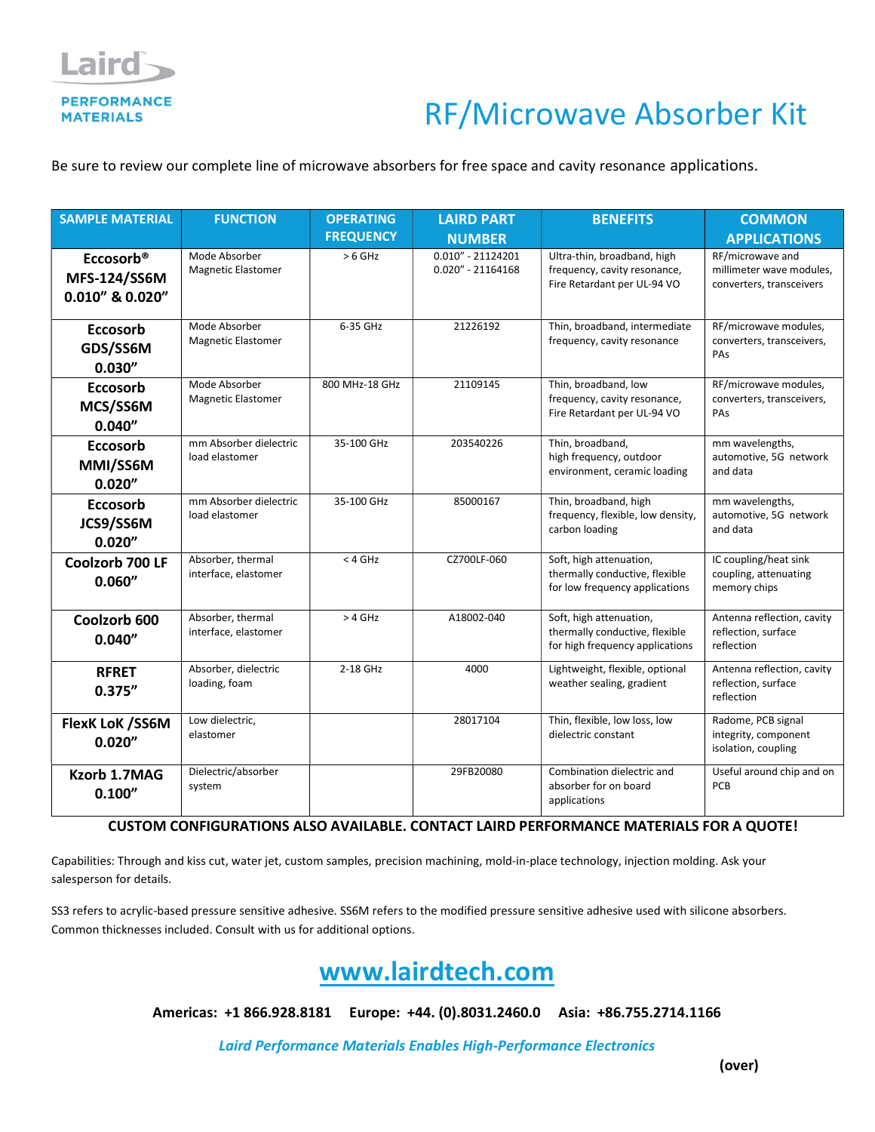

## RF/Microwave Absorber Kit

Be sure to review our complete line of microwave absorbers for free space and cavity resonance applications.

| <b>SAMPLE MATERIAL</b>                                          | <b>FUNCTION</b>                            | <b>OPERATING</b> | <b>LAIRD PART</b>                           | <b>BENEFITS</b>                                                                              | <b>COMMON</b>                                                            |
|-----------------------------------------------------------------|--------------------------------------------|------------------|---------------------------------------------|----------------------------------------------------------------------------------------------|--------------------------------------------------------------------------|
|                                                                 |                                            | <b>FREQUENCY</b> | <b>NUMBER</b>                               |                                                                                              | <b>APPLICATIONS</b>                                                      |
| Eccosorb <sup>®</sup><br><b>MFS-124/SS6M</b><br>0.010" & 0.020" | Mode Absorber<br><b>Magnetic Elastomer</b> | $> 6$ GHz        | $0.010'' - 21124201$<br>$0.020" - 21164168$ | Ultra-thin, broadband, high<br>frequency, cavity resonance,<br>Fire Retardant per UL-94 VO   | RF/microwave and<br>millimeter wave modules,<br>converters, transceivers |
| <b>Eccosorb</b><br>GDS/SS6M<br>0.030''                          | Mode Absorber<br><b>Magnetic Elastomer</b> | 6-35 GHz         | 21226192                                    | Thin, broadband, intermediate<br>frequency, cavity resonance                                 | RF/microwave modules,<br>converters, transceivers,<br>PAS                |
| <b>Eccosorb</b><br>MCS/SS6M<br>0.040''                          | Mode Absorber<br><b>Magnetic Elastomer</b> | 800 MHz-18 GHz   | 21109145                                    | Thin, broadband, low<br>frequency, cavity resonance,<br>Fire Retardant per UL-94 VO          | RF/microwave modules,<br>converters, transceivers,<br>PAs                |
| <b>Eccosorb</b><br>MMI/SS6M<br>0.020''                          | mm Absorber dielectric<br>load elastomer   | 35-100 GHz       | 203540226                                   | Thin, broadband,<br>high frequency, outdoor<br>environment, ceramic loading                  | mm wavelengths,<br>automotive, 5G network<br>and data                    |
| <b>Eccosorb</b><br>JCS9/SS6M<br>0.020"                          | mm Absorber dielectric<br>load elastomer   | 35-100 GHz       | 85000167                                    | Thin, broadband, high<br>frequency, flexible, low density,<br>carbon loading                 | mm wavelengths,<br>automotive, 5G network<br>and data                    |
| Coolzorb 700 LF<br>0.060''                                      | Absorber, thermal<br>interface, elastomer  | $<$ 4 GHz        | CZ700LF-060                                 | Soft, high attenuation,<br>thermally conductive, flexible<br>for low frequency applications  | IC coupling/heat sink<br>coupling, attenuating<br>memory chips           |
| Coolzorb 600<br>0.040''                                         | Absorber, thermal<br>interface, elastomer  | $>4$ GHz         | A18002-040                                  | Soft, high attenuation,<br>thermally conductive, flexible<br>for high frequency applications | Antenna reflection, cavity<br>reflection, surface<br>reflection          |
| <b>RFRET</b><br>0.375''                                         | Absorber, dielectric<br>loading, foam      | 2-18 GHz         | 4000                                        | Lightweight, flexible, optional<br>weather sealing, gradient                                 | Antenna reflection, cavity<br>reflection, surface<br>reflection          |
| <b>FlexK LoK /SS6M</b><br>0.020''                               | Low dielectric,<br>elastomer               |                  | 28017104                                    | Thin, flexible, low loss, low<br>dielectric constant                                         | Radome, PCB signal<br>integrity, component<br>isolation, coupling        |
| Kzorb 1.7MAG<br>0.100''                                         | Dielectric/absorber<br>system              |                  | 29FB20080                                   | Combination dielectric and<br>absorber for on board<br>applications                          | Useful around chip and on<br>PCB                                         |

## CUSTOM CONFIGURATIONS ALSO AVAILABLE. CONTACT LAIRD PERFORMANCE MATERIALS FOR A QUOTE!

Capabilities: Through and kiss cut, water jet, custom samples, precision machining, mold-in-place technology, injection molding. Ask your salesperson for details.

SS3 refers to acrylic-based pressure sensitive adhesive. SS6M refers to the modified pressure sensitive adhesive used with silicone absorbers. Common thicknesses included. Consult with us for additional options.



Americas: +1 866.928.8181 Europe: +44. (0).8031.2460.0 Asia: +86.755.2714.1166

Laird Performance Materials Enables High-Performance Electronics